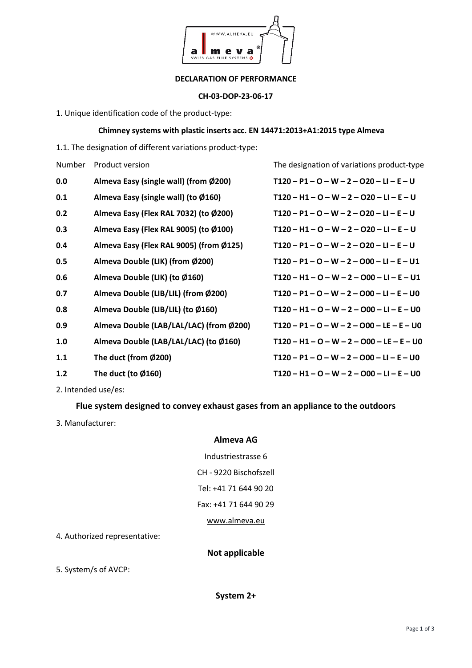

#### **DECLARATION OF PERFORMANCE**

#### **CH-03-DOP-23-06-17**

1. Unique identification code of the product-type:

## **Chimney systems with plastic inserts acc. EN 14471:2013+A1:2015 type Almeva**

1.1. The designation of different variations product-type:

| Number | Product version                         | The designation of variations product-type  |
|--------|-----------------------------------------|---------------------------------------------|
| 0.0    | Almeva Easy (single wall) (from Ø200)   | $T120 - P1 - O - W - 2 - O20 - LI - E - U$  |
| 0.1    | Almeva Easy (single wall) (to Ø160)     | $T120 - H1 - O - W - 2 - O20 - L1 - E - U$  |
| 0.2    | Almeva Easy (Flex RAL 7032) (to Ø200)   | $T120 - P1 - O - W - 2 - O20 - L1 - E - U$  |
| 0.3    | Almeva Easy (Flex RAL 9005) (to Ø100)   | $T120 - H1 - O - W - 2 - O20 - L1 - E - U$  |
| 0.4    | Almeva Easy (Flex RAL 9005) (from Ø125) | $T120 - P1 - O - W - 2 - O20 - LI - E - U$  |
| 0.5    | Almeva Double (LIK) (from Ø200)         | $T120 - P1 - Q - W - 2 - O00 - LI - E - U1$ |
| 0.6    | Almeva Double (LIK) (to Ø160)           | $T120 - H1 - O - W - 2 - O00 - L1 - E - U1$ |
| 0.7    | Almeva Double (LIB/LIL) (from Ø200)     | $T120 - P1 - Q - W - 2 - O00 - LI - E - U0$ |
| 0.8    | Almeva Double (LIB/LIL) (to Ø160)       | $T120 - H1 - O - W - 2 - O00 - LI - E - U0$ |
| 0.9    | Almeva Double (LAB/LAL/LAC) (from Ø200) | $T120 - P1 - O - W - 2 - O00 - LE - E - U0$ |
| 1.0    | Almeva Double (LAB/LAL/LAC) (to Ø160)   | $T120 - H1 - O - W - 2 - O00 - LE - E - U0$ |
| 1.1    | The duct (from Ø200)                    | $T120 - P1 - Q - W - 2 - O00 - LI - E - U0$ |
| 1.2    | The duct (to $\emptyset$ 160)           | $T120 - H1 - O - W - 2 - O00 - L1 - E - U0$ |

2. Intended use/es:

## **Flue system designed to convey exhaust gases from an appliance to the outdoors**

3. Manufacturer:

### **Almeva AG**

Industriestrasse 6 CH - 9220 Bischofszell Tel: +41 71 644 90 20 Fax: +41 71 644 90 29 [www.almeva.eu](http://www.almeva.eu/)

4. Authorized representative:

# **Not applicable**

5. System/s of AVCP: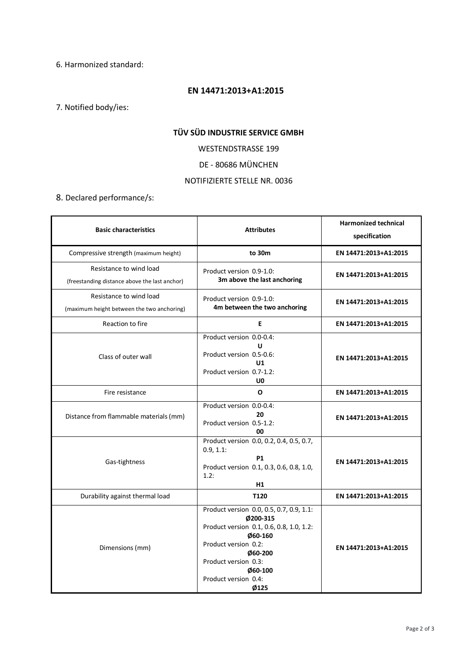6. Harmonized standard:

#### **EN 14471:2013+A1:2015**

7. Notified body/ies:

## **TÜV SÜD INDUSTRIE SERVICE GMBH**

WESTENDSTRASSE 199

DE - 80686 MÜNCHEN

## NOTIFIZIERTE STELLE NR. 0036

8. Declared performance/s:

| <b>Basic characteristics</b>                                             | <b>Attributes</b>                                                                                                                                                                                                 | <b>Harmonized technical</b><br>specification |
|--------------------------------------------------------------------------|-------------------------------------------------------------------------------------------------------------------------------------------------------------------------------------------------------------------|----------------------------------------------|
| Compressive strength (maximum height)                                    | to 30m                                                                                                                                                                                                            | EN 14471:2013+A1:2015                        |
| Resistance to wind load<br>(freestanding distance above the last anchor) | Product version 0.9-1.0:<br>3m above the last anchoring                                                                                                                                                           | EN 14471:2013+A1:2015                        |
| Resistance to wind load<br>(maximum height between the two anchoring)    | Product version 0.9-1.0:<br>4m between the two anchoring                                                                                                                                                          | EN 14471:2013+A1:2015                        |
| Reaction to fire                                                         | E                                                                                                                                                                                                                 | EN 14471:2013+A1:2015                        |
| Class of outer wall                                                      | Product version 0.0-0.4:<br>U<br>Product version 0.5-0.6:<br>U1<br>Product version 0.7-1.2:<br>U <sub>0</sub>                                                                                                     | EN 14471:2013+A1:2015                        |
| Fire resistance                                                          | O                                                                                                                                                                                                                 | EN 14471:2013+A1:2015                        |
| Distance from flammable materials (mm)                                   | Product version 0.0-0.4:<br>20<br>Product version 0.5-1.2:<br>00                                                                                                                                                  | EN 14471:2013+A1:2015                        |
| Gas-tightness                                                            | Product version 0.0, 0.2, 0.4, 0.5, 0.7,<br>$0.9, 1.1$ :<br><b>P1</b><br>Product version 0.1, 0.3, 0.6, 0.8, 1.0,<br>1.2:<br>H1                                                                                   | EN 14471:2013+A1:2015                        |
| Durability against thermal load                                          | T120                                                                                                                                                                                                              | EN 14471:2013+A1:2015                        |
| Dimensions (mm)                                                          | Product version 0.0, 0.5, 0.7, 0.9, 1.1:<br>Ø200-315<br>Product version 0.1, 0.6, 0.8, 1.0, 1.2:<br>Ø60-160<br>Product version 0.2:<br>060-200<br>Product version 0.3:<br>060-100<br>Product version 0.4:<br>Ø125 | EN 14471:2013+A1:2015                        |